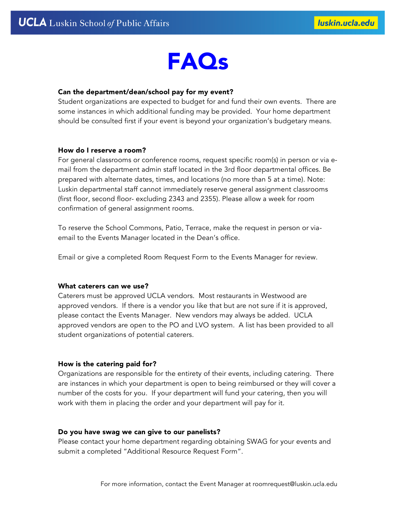

### Can the department/dean/school pay for my event?

Student organizations are expected to budget for and fund their own events. There are some instances in which additional funding may be provided. Your home department should be consulted first if your event is beyond your organization's budgetary means.

#### How do I reserve a room?

For general classrooms or conference rooms, request specific room(s) in person or via email from the department admin staff located in the 3rd floor departmental offices. Be prepared with alternate dates, times, and locations (no more than 5 at a time). Note: Luskin departmental staff cannot immediately reserve general assignment classrooms (first floor, second floor- excluding 2343 and 2355). Please allow a week for room confirmation of general assignment rooms.

To reserve the School Commons, Patio, Terrace, make the request in person or viaemail to the Events Manager located in the Dean's office.

Email or give a completed Room Request Form to the Events Manager for review.

#### What caterers can we use?

Caterers must be approved UCLA vendors. Most restaurants in Westwood are approved vendors. If there is a vendor you like that but are not sure if it is approved, please contact the Events Manager. New vendors may always be added. UCLA approved vendors are open to the PO and LVO system. A list has been provided to all student organizations of potential caterers.

#### How is the catering paid for?

Organizations are responsible for the entirety of their events, including catering. There are instances in which your department is open to being reimbursed or they will cover a number of the costs for you. If your department will fund your catering, then you will work with them in placing the order and your department will pay for it.

#### Do you have swag we can give to our panelists?

Please contact your home department regarding obtaining SWAG for your events and submit a completed "Additional Resource Request Form".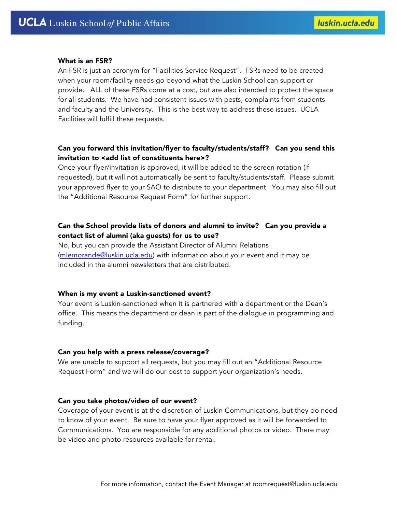#### What is an FSR?

An FSR is just an acronym for "Facilities Service Request". FSRs need to be created when your room/facility needs go beyond what the Luskin School can support or provide. ALL of these FSRs come at a cost, but are also intended to protect the space for all students. We have had consistent issues with pests, complaints from students and faculty and the University. This is the best way to address these issues. UCLA Facilities will fulfill these requests.

# Can you forward this invitation/flyer to faculty/students/staff? Can you send this invitation to <add list of constituents here>?

Once your flyer/invitation is approved, it will be added to the screen rotation (if requested), but it will not automatically be sent to faculty/students/staff. Please submit your approved flyer to your SAO to distribute to your department. You may also fill out the "Additional Resource Request Form" for further support.

# Can the School provide lists of donors and alumni to invite? Can you provide a contact list of alumni (aka guests) for us to use?

No, but you can provide the Assistant Director of Alumni Relations (mlemorande@luskin.ucla.edu) with information about your event and it may be included in the alumni newsletters that are distributed.

#### When is my event a Luskin-sanctioned event?

Your event is Luskin-sanctioned when it is partnered with a department or the Dean's office. This means the department or dean is part of the dialogue in programming and funding.

#### Can you help with a press release/coverage?

We are unable to support all requests, but you may fill out an "Additional Resource Request Form" and we will do our best to support your organization's needs.

#### Can you take photos/video of our event?

Coverage of your event is at the discretion of Luskin Communications, but they do need to know of your event. Be sure to have your flyer approved as it will be forwarded to Communications. You are responsible for any additional photos or video. There may be video and photo resources available for rental.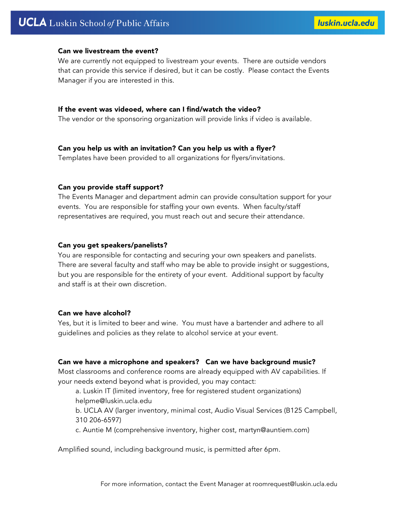# **UCLA** Luskin School of Public Affairs

### Can we livestream the event?

We are currently not equipped to livestream your events. There are outside vendors that can provide this service if desired, but it can be costly. Please contact the Events Manager if you are interested in this.

#### If the event was videoed, where can I find/watch the video?

The vendor or the sponsoring organization will provide links if video is available.

# Can you help us with an invitation? Can you help us with a flyer?

Templates have been provided to all organizations for flyers/invitations.

### Can you provide staff support?

The Events Manager and department admin can provide consultation support for your events. You are responsible for staffing your own events. When faculty/staff representatives are required, you must reach out and secure their attendance.

### Can you get speakers/panelists?

You are responsible for contacting and securing your own speakers and panelists. There are several faculty and staff who may be able to provide insight or suggestions, but you are responsible for the entirety of your event. Additional support by faculty and staff is at their own discretion.

#### Can we have alcohol?

Yes, but it is limited to beer and wine. You must have a bartender and adhere to all guidelines and policies as they relate to alcohol service at your event.

# Can we have a microphone and speakers? Can we have background music?

Most classrooms and conference rooms are already equipped with AV capabilities. If your needs extend beyond what is provided, you may contact:

a. Luskin IT (limited inventory, free for registered student organizations) helpme@luskin.ucla.edu

b. UCLA AV (larger inventory, minimal cost, Audio Visual Services (B125 Campbell, 310 206-6597)

c. Auntie M (comprehensive inventory, higher cost, martyn@auntiem.com)

Amplified sound, including background music, is permitted after 6pm.